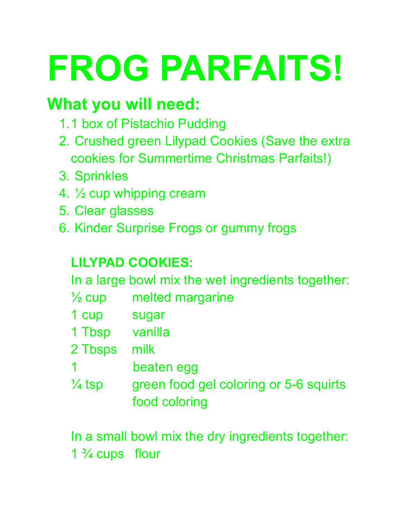# **FROG PARFAITS!**

### **What you will need:**

- 1.1 box of Pistachio Pudding
- 2. Crushed green Lilypad Cookies (Save the extra cookies for Summertime Christmas Parfaits!)
- 3. Sprinkles
- 4. ½ cup whipping cream
- 5. Clear glasses
- 6. Kinder Surprise Frogs or gummy frogs

#### **LILYPAD COOKIES:**

In a large bowl mix the wet ingredients together:

- $\frac{1}{2}$  cup melted margarine
- 1 cup sugar
- 1 Tbsp vanilla
- 2 Tbsps milk
- 1 beaten egg
- $\frac{1}{4}$  tsp green food gel coloring or 5-6 squirts food coloring

In a small bowl mix the dry ingredients together: 1  $\frac{3}{4}$  cups flour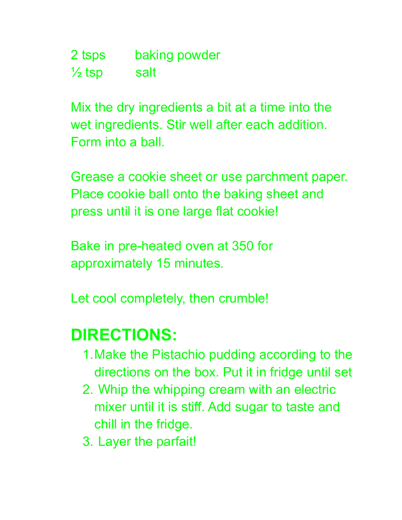2 tsps baking powder  $\frac{1}{2}$  tsp salt

Mix the dry ingredients a bit at a time into the wet ingredients. Stir well after each addition. Form into a ball.

Grease a cookie sheet or use parchment paper. Place cookie ball onto the baking sheet and press until it is one large flat cookie!

Bake in pre-heated oven at 350 for approximately 15 minutes.

Let cool completely, then crumble!

#### **DIRECTIONS:**

- 1.Make the Pistachio pudding according to the directions on the box. Put it in fridge until set
- 2. Whip the whipping cream with an electric mixer until it is stiff. Add sugar to taste and chill in the fridge.
- 3. Layer the parfait!